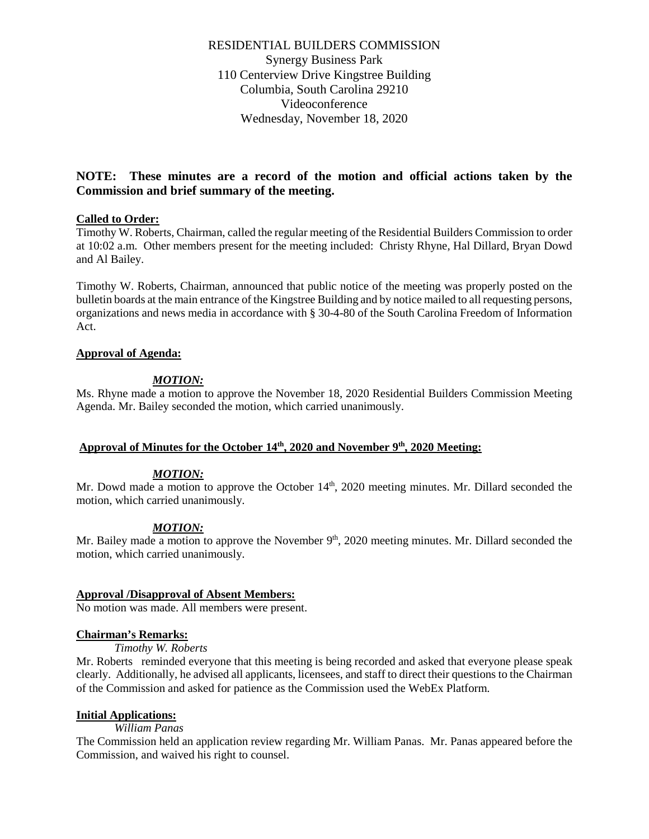RESIDENTIAL BUILDERS COMMISSION Synergy Business Park 110 Centerview Drive Kingstree Building Columbia, South Carolina 29210 Videoconference Wednesday, November 18, 2020

# **NOTE: These minutes are a record of the motion and official actions taken by the Commission and brief summary of the meeting.**

## **Called to Order:**

Timothy W. Roberts, Chairman, called the regular meeting of the Residential Builders Commission to order at 10:02 a.m. Other members present for the meeting included: Christy Rhyne, Hal Dillard, Bryan Dowd and Al Bailey.

Timothy W. Roberts, Chairman, announced that public notice of the meeting was properly posted on the bulletin boards at the main entrance of the Kingstree Building and by notice mailed to all requesting persons, organizations and news media in accordance with § 30-4-80 of the South Carolina Freedom of Information Act.

#### **Approval of Agenda:**

#### *MOTION:*

Ms. Rhyne made a motion to approve the November 18, 2020 Residential Builders Commission Meeting Agenda. Mr. Bailey seconded the motion, which carried unanimously.

# Approval of Minutes for the October 14<sup>th</sup>, 2020 and November 9<sup>th</sup>, 2020 Meeting:

#### *MOTION:*

Mr. Dowd made a motion to approve the October  $14<sup>th</sup>$ , 2020 meeting minutes. Mr. Dillard seconded the motion, which carried unanimously.

## *MOTION:*

Mr. Bailey made a motion to approve the November  $9<sup>th</sup>$ , 2020 meeting minutes. Mr. Dillard seconded the motion, which carried unanimously.

#### **Approval /Disapproval of Absent Members:**

No motion was made. All members were present.

#### **Chairman's Remarks:**

*Timothy W. Roberts*

Mr. Roberts reminded everyone that this meeting is being recorded and asked that everyone please speak clearly. Additionally, he advised all applicants, licensees, and staff to direct their questions to the Chairman of the Commission and asked for patience as the Commission used the WebEx Platform.

#### **Initial Applications:**

*William Panas*

The Commission held an application review regarding Mr. William Panas. Mr. Panas appeared before the Commission, and waived his right to counsel.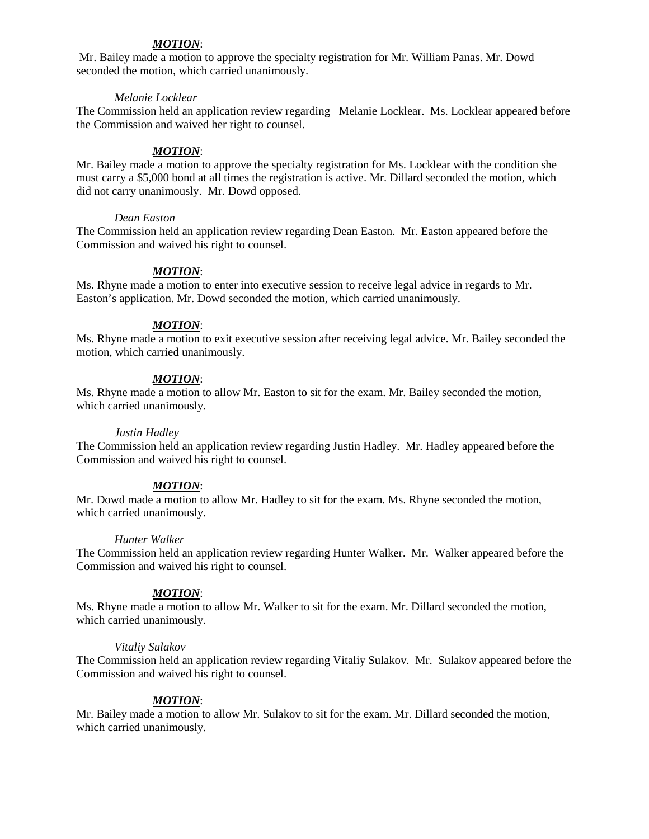# *MOTION*:

Mr. Bailey made a motion to approve the specialty registration for Mr. William Panas. Mr. Dowd seconded the motion, which carried unanimously.

#### *Melanie Locklear*

The Commission held an application review regarding Melanie Locklear. Ms. Locklear appeared before the Commission and waived her right to counsel.

# *MOTION*:

Mr. Bailey made a motion to approve the specialty registration for Ms. Locklear with the condition she must carry a \$5,000 bond at all times the registration is active. Mr. Dillard seconded the motion, which did not carry unanimously. Mr. Dowd opposed.

#### *Dean Easton*

The Commission held an application review regarding Dean Easton. Mr. Easton appeared before the Commission and waived his right to counsel.

## *MOTION*:

Ms. Rhyne made a motion to enter into executive session to receive legal advice in regards to Mr. Easton's application. Mr. Dowd seconded the motion, which carried unanimously.

## *MOTION*:

Ms. Rhyne made a motion to exit executive session after receiving legal advice. Mr. Bailey seconded the motion, which carried unanimously.

## *MOTION*:

Ms. Rhyne made a motion to allow Mr. Easton to sit for the exam. Mr. Bailey seconded the motion, which carried unanimously.

## *Justin Hadley*

The Commission held an application review regarding Justin Hadley. Mr. Hadley appeared before the Commission and waived his right to counsel.

## *MOTION*:

Mr. Dowd made a motion to allow Mr. Hadley to sit for the exam. Ms. Rhyne seconded the motion, which carried unanimously.

#### *Hunter Walker*

The Commission held an application review regarding Hunter Walker. Mr. Walker appeared before the Commission and waived his right to counsel.

## *MOTION*:

Ms. Rhyne made a motion to allow Mr. Walker to sit for the exam. Mr. Dillard seconded the motion, which carried unanimously.

#### *Vitaliy Sulakov*

The Commission held an application review regarding Vitaliy Sulakov. Mr. Sulakov appeared before the Commission and waived his right to counsel.

## *MOTION*:

Mr. Bailey made a motion to allow Mr. Sulakov to sit for the exam. Mr. Dillard seconded the motion, which carried unanimously.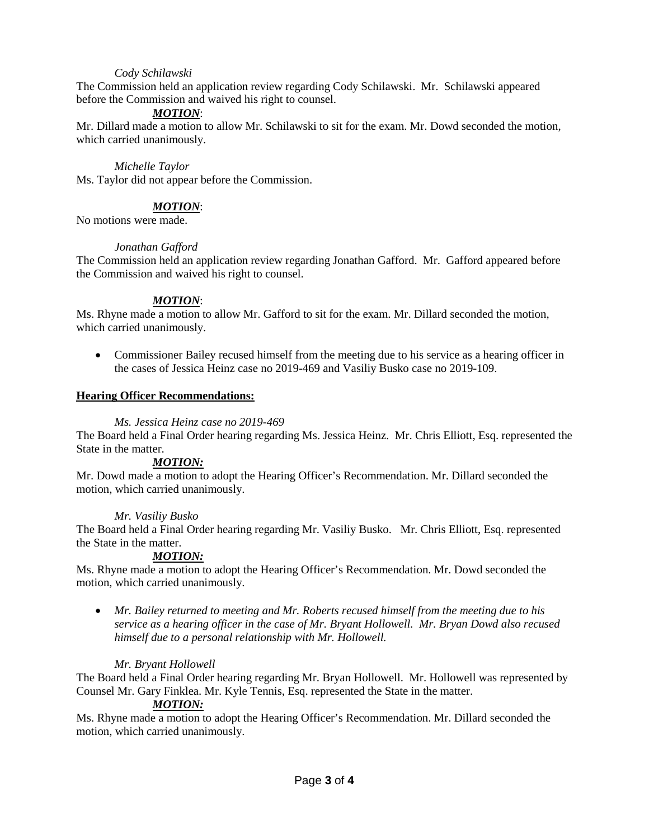# *Cody Schilawski*

The Commission held an application review regarding Cody Schilawski. Mr. Schilawski appeared before the Commission and waived his right to counsel.

# *MOTION*:

Mr. Dillard made a motion to allow Mr. Schilawski to sit for the exam. Mr. Dowd seconded the motion, which carried unanimously.

#### *Michelle Taylor*

Ms. Taylor did not appear before the Commission.

# *MOTION*:

No motions were made.

## *Jonathan Gafford*

The Commission held an application review regarding Jonathan Gafford. Mr. Gafford appeared before the Commission and waived his right to counsel.

# *MOTION*:

Ms. Rhyne made a motion to allow Mr. Gafford to sit for the exam. Mr. Dillard seconded the motion, which carried unanimously.

• Commissioner Bailey recused himself from the meeting due to his service as a hearing officer in the cases of Jessica Heinz case no 2019-469 and Vasiliy Busko case no 2019-109.

## **Hearing Officer Recommendations:**

## *Ms. Jessica Heinz case no 2019-469*

The Board held a Final Order hearing regarding Ms. Jessica Heinz. Mr. Chris Elliott, Esq. represented the State in the matter.

## *MOTION:*

Mr. Dowd made a motion to adopt the Hearing Officer's Recommendation. Mr. Dillard seconded the motion, which carried unanimously.

## *Mr. Vasiliy Busko*

The Board held a Final Order hearing regarding Mr. Vasiliy Busko. Mr. Chris Elliott, Esq. represented the State in the matter.

## *MOTION:*

Ms. Rhyne made a motion to adopt the Hearing Officer's Recommendation. Mr. Dowd seconded the motion, which carried unanimously.

• *Mr. Bailey returned to meeting and Mr. Roberts recused himself from the meeting due to his service as a hearing officer in the case of Mr. Bryant Hollowell. Mr. Bryan Dowd also recused himself due to a personal relationship with Mr. Hollowell.*

## *Mr. Bryant Hollowell*

The Board held a Final Order hearing regarding Mr. Bryan Hollowell. Mr. Hollowell was represented by Counsel Mr. Gary Finklea. Mr. Kyle Tennis, Esq. represented the State in the matter.

# *MOTION:*

Ms. Rhyne made a motion to adopt the Hearing Officer's Recommendation. Mr. Dillard seconded the motion, which carried unanimously.